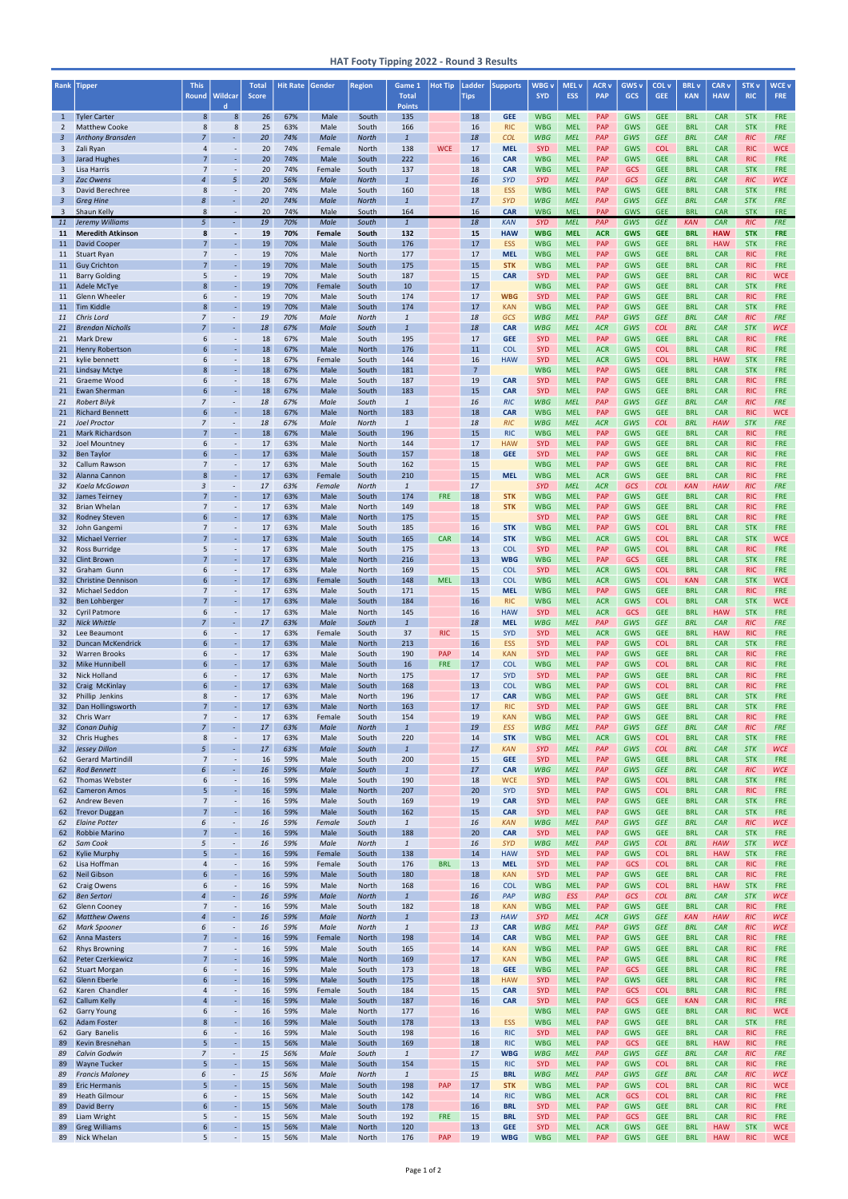| Rank                               | <b>Tipper</b>                                      | <b>This</b>                      |                                              | <b>Total</b> | <b>Hit Rate</b> | Gender           | <b>Region</b>         | Game 1                         | <b>Hot Tip</b>           | Ladder               | <b>Supports</b>          | WBG <sub>v</sub>         | MEL <sub>v</sub>         | <b>ACR v</b>             | GWS <sub>v</sub>         | COL <sub>v</sub>         | <b>BRL</b> v             | CAR <sub>v</sub>         | <b>STK v</b>             | <b>WCE v</b>             |
|------------------------------------|----------------------------------------------------|----------------------------------|----------------------------------------------|--------------|-----------------|------------------|-----------------------|--------------------------------|--------------------------|----------------------|--------------------------|--------------------------|--------------------------|--------------------------|--------------------------|--------------------------|--------------------------|--------------------------|--------------------------|--------------------------|
|                                    |                                                    | <b>Round</b>                     | <b>Wildcar</b><br>$\mathbf d$                | <b>Score</b> |                 |                  |                       | <b>Total</b><br><b>Points</b>  |                          | <b>Tips</b>          |                          | <b>SYD</b>               | <b>ESS</b>               | <b>PAP</b>               | <b>GCS</b>               | <b>GEE</b>               | <b>KAN</b>               | <b>HAW</b>               | <b>RIC</b>               | <b>FRE</b>               |
| $\mathbf{1}$                       | <b>Tyler Carter</b>                                | 8                                | $8\phantom{1}$                               | 26           | 67%             | Male             | South                 | 135                            |                          | 18                   | <b>GEE</b>               | <b>WBG</b>               | <b>MEL</b>               | PAP                      | <b>GWS</b>               | <b>GEE</b>               | <b>BRL</b>               | <b>CAR</b>               | <b>STK</b>               | <b>FRE</b>               |
| 2<br>$\mathbf{3}$                  | <b>Matthew Cooke</b><br><b>Anthony Bransden</b>    | 8<br>$\overline{7}$              | 8<br>÷.                                      | 25<br>20     | 63%<br>74%      | Male<br>Male     | South<br><b>North</b> | 166<br>$\mathbf{1}$            |                          | 16<br>18             | <b>RIC</b><br><b>COL</b> | <b>WBG</b><br><b>WBG</b> | <b>MEL</b><br><b>MEL</b> | PAP<br>PAP               | <b>GWS</b><br>GWS        | <b>GEE</b><br><b>GEE</b> | <b>BRL</b><br><b>BRL</b> | <b>CAR</b><br>CAR        | <b>STK</b><br><b>RIC</b> | <b>FRE</b><br><b>FRE</b> |
| 3                                  | Zali Ryan                                          | 4                                | $\blacksquare$                               | 20           | 74%             | Female           | <b>North</b>          | 138                            | <b>WCE</b>               | 17                   | <b>MEL</b>               | <b>SYD</b>               | <b>MEL</b>               | PAP                      | <b>GWS</b>               | <b>COL</b>               | <b>BRL</b>               | <b>CAR</b>               | <b>RIC</b>               | <b>WCE</b>               |
| 3                                  | <b>Jarad Hughes</b>                                | $\overline{7}$                   | ä,                                           | 20           | 74%             | Male             | South                 | 222                            |                          | 16                   | <b>CAR</b>               | <b>WBG</b>               | <b>MEL</b>               | PAP                      | <b>GWS</b>               | <b>GEE</b>               | <b>BRL</b>               | <b>CAR</b>               | <b>RIC</b>               | <b>FRE</b>               |
| 3<br>$\overline{3}$                | Lisa Harris<br><b>Zac Owens</b>                    | $\overline{7}$<br>$\overline{4}$ | $\overline{\phantom{a}}$<br>5                | 20<br>20     | 74%<br>56%      | Female<br>Male   | South<br><b>North</b> | 137<br>$\mathbf{1}$            |                          | 18<br>16             | <b>CAR</b><br><b>SYD</b> | <b>WBG</b><br><b>SYD</b> | <b>MEL</b><br><b>MEL</b> | <b>PAP</b><br><b>PAP</b> | <b>GCS</b><br><b>GCS</b> | <b>GEE</b><br><b>GEE</b> | <b>BRL</b><br><b>BRL</b> | <b>CAR</b><br><b>CAR</b> | <b>STK</b><br><b>RIC</b> | <b>FRE</b><br><b>WCE</b> |
| $\overline{\mathbf{3}}$            | David Berechree                                    | 8                                | $\blacksquare$                               | 20           | 74%             | Male             | South                 | 160                            |                          | 18                   | <b>ESS</b>               | <b>WBG</b>               | <b>MEL</b>               | PAP                      | <b>GWS</b>               | <b>GEE</b>               | <b>BRL</b>               | <b>CAR</b>               | <b>STK</b>               | <b>FRE</b>               |
| $\overline{3}$                     | <b>Greg Hine</b>                                   | 8                                | $\omega$                                     | 20           | 74%             | Male             | <b>North</b>          | $\overline{1}$                 |                          | 17                   | <b>SYD</b>               | <b>WBG</b>               | <b>MEL</b>               | PAP                      | GWS                      | <b>GEE</b>               | <b>BRL</b>               | <b>CAR</b>               | <b>STK</b>               | <b>FRE</b>               |
| $\overline{3}$<br>11               | <b>Shaun Kelly</b><br>Jeremy Williams              | 8<br>5 <sup>5</sup>              | $\blacksquare$<br>$\sim$                     | 20<br>19     | 74%<br>70%      | Male<br>Male     | South<br>South        | 164<br>$\mathbf{1}$            |                          | 16<br>18             | <b>CAR</b><br><b>KAN</b> | <b>WBG</b><br><b>SYD</b> | <b>MEL</b><br><b>MEL</b> | <b>PAP</b><br>PAP        | <b>GWS</b><br>GWS        | <b>GEE</b><br><b>GEE</b> | <b>BRL</b><br><b>KAN</b> | <b>CAR</b><br>CAR        | <b>STK</b><br><b>RIC</b> | <b>FRE</b><br><b>FRE</b> |
| 11                                 | <b>Meredith Atkinson</b>                           | 8                                | $\blacksquare$                               | 19           | 70%             | Female           | South                 | 132                            |                          | 15                   | <b>HAW</b>               | <b>WBG</b>               | <b>MEL</b>               | <b>ACR</b>               | <b>GWS</b>               | <b>GEE</b>               | <b>BRL</b>               | <b>HAW</b>               | <b>STK</b>               | <b>FRE</b>               |
| 11<br>11                           | <b>David Cooper</b><br><b>Stuart Ryan</b>          | $\overline{7}$<br>$\overline{7}$ | $\Box$<br>$\blacksquare$                     | 19<br>19     | 70%<br>70%      | Male<br>Male     | South<br><b>North</b> | 176<br>177                     |                          | 17<br>17             | <b>ESS</b><br><b>MEL</b> | <b>WBG</b><br><b>WBG</b> | <b>MEL</b><br><b>MEL</b> | PAP<br>PAP               | <b>GWS</b><br><b>GWS</b> | <b>GEE</b><br><b>GEE</b> | <b>BRL</b><br><b>BRL</b> | <b>HAW</b><br><b>CAR</b> | <b>STK</b><br><b>RIC</b> | <b>FRE</b><br><b>FRE</b> |
| 11                                 | <b>Guy Crichton</b>                                | $\overline{7}$                   | $\Box$                                       | 19           | 70%             | Male             | South                 | 175                            |                          | 15                   | <b>STK</b>               | <b>WBG</b>               | <b>MEL</b>               | <b>PAP</b>               | <b>GWS</b>               | <b>GEE</b>               | <b>BRL</b>               | <b>CAR</b>               | <b>RIC</b>               | <b>FRE</b>               |
| 11                                 | <b>Barry Golding</b>                               | 5                                | $\blacksquare$                               | 19           | 70%             | Male             | South                 | 187                            |                          | 15                   | <b>CAR</b>               | <b>SYD</b>               | <b>MEL</b>               | <b>PAP</b>               | <b>GWS</b>               | <b>GEE</b>               | <b>BRL</b>               | <b>CAR</b>               | <b>RIC</b>               | <b>WCE</b>               |
| 11<br>11                           | <b>Adele McTye</b><br><b>Glenn Wheeler</b>         | 8<br>6                           | L,<br>$\blacksquare$                         | 19<br>19     | 70%<br>70%      | Female<br>Male   | South<br>South        | 10<br>174                      |                          | 17<br>17             | <b>WBG</b>               | <b>WBG</b><br><b>SYD</b> | <b>MEL</b><br><b>MEL</b> | PAP<br>PAP               | <b>GWS</b><br><b>GWS</b> | <b>GEE</b><br><b>GEE</b> | <b>BRL</b><br><b>BRL</b> | <b>CAR</b><br><b>CAR</b> | <b>STK</b><br><b>RIC</b> | <b>FRE</b><br><b>FRE</b> |
| 11                                 | <b>Tim Kiddle</b>                                  | 8                                | ÷.                                           | 19           | 70%             | Male             | South                 | 174                            |                          | 17                   | <b>KAN</b>               | <b>WBG</b>               | <b>MEL</b>               | PAP                      | <b>GWS</b>               | <b>GEE</b>               | <b>BRL</b>               | <b>CAR</b>               | <b>STK</b>               | <b>FRE</b>               |
| 11                                 | Chris Lord<br><b>Brendan Nicholls</b>              | $\overline{7}$<br>$\overline{7}$ | $\overline{\phantom{a}}$<br>$\omega_{\rm c}$ | 19           | 70%             | Male             | <b>North</b>          | $\overline{1}$<br>$\mathbf{1}$ |                          | 18                   | <b>GCS</b>               | <b>WBG</b>               | <b>MEL</b>               | PAP                      | GWS                      | <b>GEE</b>               | <b>BRL</b>               | CAR                      | <b>RIC</b>               | <b>FRE</b><br><b>WCE</b> |
| 21<br>21                           | <b>Mark Drew</b>                                   | 6                                | $\blacksquare$                               | 18<br>18     | 67%<br>67%      | Male<br>Male     | South<br>South        | 195                            |                          | 18<br>17             | <b>CAR</b><br><b>GEE</b> | <b>WBG</b><br><b>SYD</b> | <b>MEL</b><br><b>MEL</b> | <b>ACR</b><br><b>PAP</b> | GWS<br><b>GWS</b>        | <b>COL</b><br><b>GEE</b> | <b>BRL</b><br><b>BRL</b> | CAR<br><b>CAR</b>        | <b>STK</b><br><b>RIC</b> | <b>FRE</b>               |
| 21                                 | <b>Henry Robertson</b>                             | 6                                | ÷.                                           | 18           | 67%             | Male             | <b>North</b>          | 176                            |                          | 11                   | <b>COL</b>               | <b>SYD</b>               | <b>MEL</b>               | <b>ACR</b>               | <b>GWS</b>               | <b>COL</b>               | <b>BRL</b>               | <b>CAR</b>               | <b>RIC</b>               | <b>FRE</b>               |
| 21<br>21                           | kylie bennett<br>Lindsay Mctye                     | 6<br>8                           | $\blacksquare$<br>L,                         | 18<br>18     | 67%<br>67%      | Female<br>Male   | South<br>South        | 144<br>181                     |                          | 16<br>$\overline{7}$ | <b>HAW</b>               | <b>SYD</b><br><b>WBG</b> | <b>MEL</b><br><b>MEL</b> | <b>ACR</b><br><b>PAP</b> | <b>GWS</b><br><b>GWS</b> | <b>COL</b><br><b>GEE</b> | <b>BRL</b><br><b>BRL</b> | <b>HAW</b><br><b>CAR</b> | <b>STK</b><br><b>STK</b> | <b>FRE</b><br><b>FRE</b> |
| 21                                 | Graeme Wood                                        | 6                                | $\overline{\phantom{a}}$                     | 18           | 67%             | Male             | South                 | 187                            |                          | 19                   | <b>CAR</b>               | <b>SYD</b>               | <b>MEL</b>               | <b>PAP</b>               | <b>GWS</b>               | <b>GEE</b>               | <b>BRL</b>               | <b>CAR</b>               | <b>RIC</b>               | <b>FRE</b>               |
| 21                                 | <b>Ewan Sherman</b>                                | 6                                | $\omega_{\rm c}$                             | 18           | 67%             | Male             | South                 | 183                            |                          | 15                   | <b>CAR</b>               | <b>SYD</b>               | <b>MEL</b>               | <b>PAP</b>               | <b>GWS</b>               | <b>GEE</b>               | <b>BRL</b>               | <b>CAR</b>               | <b>RIC</b>               | <b>FRE</b>               |
| 21<br>21                           | <b>Robert Bilyk</b><br><b>Richard Bennett</b>      | $\overline{7}$<br>6              | $\overline{\phantom{a}}$<br>L,               | 18<br>18     | 67%<br>67%      | Male<br>Male     | South<br><b>North</b> | $\mathbf{1}$<br>183            |                          | 16<br>18             | <b>RIC</b><br><b>CAR</b> | <b>WBG</b><br><b>WBG</b> | <b>MEL</b><br><b>MEL</b> | PAP<br><b>PAP</b>        | GWS<br><b>GWS</b>        | <b>GEE</b><br><b>GEE</b> | <b>BRL</b><br><b>BRL</b> | CAR<br><b>CAR</b>        | <b>RIC</b><br><b>RIC</b> | <b>FRE</b><br><b>WCE</b> |
| 21                                 | <b>Joel Proctor</b>                                | $\overline{7}$                   | $\overline{\phantom{a}}$                     | 18           | 67%             | Male             | <b>North</b>          | $\overline{1}$                 |                          | 18                   | <b>RIC</b>               | <b>WBG</b>               | <b>MEL</b>               | <b>ACR</b>               | GWS                      | <b>COL</b>               | <b>BRL</b>               | <b>HAW</b>               | <b>STK</b>               | <b>FRE</b>               |
| 21                                 | <b>Mark Richardson</b>                             | $\overline{7}$                   | ä,                                           | 18           | 67%             | Male             | South                 | 196                            |                          | 15                   | <b>RIC</b>               | <b>WBG</b>               | <b>MEL</b>               | <b>PAP</b><br><b>PAP</b> | <b>GWS</b>               | <b>GEE</b>               | <b>BRL</b>               | <b>CAR</b>               | <b>RIC</b>               | <b>FRE</b>               |
| 32 <sup>2</sup><br>32 <sub>2</sub> | Joel Mountney<br><b>Ben Taylor</b>                 | 6<br>6                           | $\blacksquare$<br>L,                         | 17<br>17     | 63%<br>63%      | Male<br>Male     | <b>North</b><br>South | 144<br>157                     |                          | 17<br>18             | <b>HAW</b><br><b>GEE</b> | <b>SYD</b><br><b>SYD</b> | <b>MEL</b><br><b>MEL</b> | <b>PAP</b>               | <b>GWS</b><br><b>GWS</b> | <b>GEE</b><br><b>GEE</b> | <b>BRL</b><br><b>BRL</b> | <b>CAR</b><br><b>CAR</b> | <b>RIC</b><br><b>RIC</b> | <b>FRE</b><br><b>FRE</b> |
| 32                                 | Callum Rawson                                      | $\overline{7}$                   | $\blacksquare$                               | 17           | 63%             | Male             | South                 | 162                            |                          | 15                   |                          | <b>WBG</b>               | <b>MEL</b>               | <b>PAP</b>               | <b>GWS</b>               | <b>GEE</b>               | <b>BRL</b>               | <b>CAR</b>               | <b>RIC</b>               | <b>FRE</b>               |
| 32 <sup>2</sup><br>32              | Alanna Cannon<br>Kaela McGowan                     | 8<br>3                           | ä,<br>$\overline{\phantom{a}}$               | 17<br>17     | 63%<br>63%      | Female<br>Female | South<br><b>North</b> | 210<br>$\mathbf{1}$            |                          | 15<br>17             | <b>MEL</b>               | <b>WBG</b><br><b>SYD</b> | <b>MEL</b><br><b>MEL</b> | <b>ACR</b><br><b>ACR</b> | <b>GWS</b><br><b>GCS</b> | <b>GEE</b><br><b>COL</b> | <b>BRL</b><br><b>KAN</b> | <b>CAR</b><br><b>HAW</b> | <b>RIC</b><br><b>RIC</b> | <b>FRE</b><br><b>FRE</b> |
| 32 <sub>2</sub>                    | James Teirney                                      | $\overline{7}$                   | ä,                                           | 17           | 63%             | Male             | South                 | 174                            | <b>FRE</b>               | 18                   | <b>STK</b>               | <b>WBG</b>               | <b>MEL</b>               | <b>PAP</b>               | <b>GWS</b>               | <b>GEE</b>               | <b>BRL</b>               | <b>CAR</b>               | <b>RIC</b>               | <b>FRE</b>               |
| 32<br>32 <sup>2</sup>              | <b>Brian Whelan</b>                                | $\overline{7}$<br>6              | $\blacksquare$<br>$\omega$                   | 17<br>17     | 63%<br>63%      | Male<br>Male     | North<br><b>North</b> | 149<br>175                     |                          | 18<br>15             | <b>STK</b>               | <b>WBG</b><br><b>SYD</b> | <b>MEL</b><br><b>MEL</b> | <b>PAP</b><br><b>PAP</b> | <b>GWS</b><br><b>GWS</b> | <b>GEE</b><br><b>GEE</b> | <b>BRL</b><br><b>BRL</b> | <b>CAR</b><br><b>CAR</b> | <b>RIC</b><br><b>RIC</b> | <b>FRE</b><br><b>FRE</b> |
|                                    | <b>Rodney Steven</b><br>32 John Gangemi            | $\overline{7}$                   |                                              | 17           | 63%             | Male             | South                 | 185                            |                          | 16                   | <b>STK</b>               | <b>WBG</b>               | <b>MEL</b>               | <b>PAP</b>               | GWS                      | <b>COL</b>               | <b>BRL</b>               | <b>CAR</b>               | <b>STK</b>               | <b>FRE</b>               |
| 32 <sub>2</sub>                    | <b>Michael Verrier</b>                             | $\overline{7}$                   | $\Box$                                       | 17           | 63%             | Male             | South                 | 165                            | <b>CAR</b>               | 14                   | <b>STK</b>               | <b>WBG</b>               | <b>MEL</b>               | <b>ACR</b>               | <b>GWS</b>               | <b>COL</b>               | <b>BRL</b>               | <b>CAR</b>               | <b>STK</b>               | <b>WCE</b>               |
| 32 <sup>2</sup><br>32 <sup>2</sup> | Ross Burridge<br><b>Clint Brown</b>                | 5<br>$\overline{7}$              | $\overline{\phantom{a}}$<br>$\omega$         | 17<br>17     | 63%<br>63%      | Male<br>Male     | South<br><b>North</b> | 175<br>216                     |                          | 13<br>13             | <b>COL</b><br><b>WBG</b> | <b>SYD</b><br><b>WBG</b> | <b>MEL</b><br><b>MEL</b> | <b>PAP</b><br>PAP        | <b>GWS</b><br><b>GCS</b> | <b>COL</b><br><b>GEE</b> | <b>BRL</b><br><b>BRL</b> | <b>CAR</b><br><b>CAR</b> | <b>RIC</b><br><b>STK</b> | <b>FRE</b><br><b>FRE</b> |
| 32 <sup>2</sup>                    | Graham Gunn                                        | 6                                | $\blacksquare$                               | 17           | 63%             | Male             | North                 | 169                            |                          | 15                   | <b>COL</b>               | <b>SYD</b>               | <b>MEL</b>               | <b>ACR</b>               | <b>GWS</b>               | <b>COL</b>               | <b>BRL</b>               | <b>CAR</b>               | <b>RIC</b>               | <b>FRE</b>               |
| 32 <sup>2</sup><br>32 <sup>2</sup> | <b>Christine Dennison</b><br><b>Michael Seddon</b> | 6<br>$\overline{7}$              | $\omega$<br>$\overline{\phantom{a}}$         | 17<br>17     | 63%<br>63%      | Female<br>Male   | South<br>South        | 148<br>171                     | <b>MEL</b>               | 13<br>15             | <b>COL</b><br><b>MEL</b> | <b>WBG</b><br><b>WBG</b> | <b>MEL</b><br><b>MEL</b> | <b>ACR</b><br><b>PAP</b> | <b>GWS</b><br><b>GWS</b> | <b>COL</b><br><b>GEE</b> | <b>KAN</b><br><b>BRL</b> | <b>CAR</b><br><b>CAR</b> | <b>STK</b><br><b>RIC</b> | <b>WCE</b><br><b>FRE</b> |
| 32 <sup>2</sup>                    | <b>Ben Lohberger</b>                               | $\overline{7}$                   | L,                                           | 17           | 63%             | Male             | South                 | 184                            |                          | 16                   | <b>RIC</b>               | <b>WBG</b>               | <b>MEL</b>               | <b>ACR</b>               | <b>GWS</b>               | <b>COL</b>               | <b>BRL</b>               | <b>CAR</b>               | <b>STK</b>               | <b>WCE</b>               |
| 32 <sup>2</sup>                    | <b>Cyril Patmore</b>                               | 6                                | $\overline{\phantom{a}}$                     | 17           | 63%             | Male             | North                 | 145                            |                          | 16                   | <b>HAW</b>               | <b>SYD</b>               | <b>MEL</b>               | <b>ACR</b>               | <b>GCS</b>               | <b>GEE</b>               | <b>BRL</b>               | <b>HAW</b>               | <b>STK</b>               | <b>FRE</b>               |
| 32 <sup>2</sup><br>32 <sup>2</sup> | <b>Nick Whittle</b><br>Lee Beaumont                | $\overline{7}$<br>6              | ÷.<br>$\overline{\phantom{a}}$               | 17<br>17     | 63%<br>63%      | Male<br>Female   | South<br>South        | $\mathbf{1}$<br>37             | <b>RIC</b>               | 18<br>15             | <b>MEL</b><br><b>SYD</b> | <b>WBG</b><br><b>SYD</b> | <b>MEL</b><br><b>MEL</b> | PAP<br><b>ACR</b>        | GWS<br><b>GWS</b>        | <b>GEE</b><br><b>GEE</b> | <b>BRL</b><br><b>BRL</b> | CAR<br><b>HAW</b>        | <b>RIC</b><br><b>RIC</b> | <b>FRE</b><br><b>FRE</b> |
| 32 <sup>2</sup>                    | <b>Duncan McKendrick</b>                           | 6                                | L,                                           | 17           | 63%             | Male             | North                 | 213                            |                          | 16                   | <b>ESS</b>               | <b>SYD</b>               | <b>MEL</b>               | <b>PAP</b>               | <b>GWS</b>               | <b>COL</b>               | <b>BRL</b>               | <b>CAR</b>               | <b>STK</b>               | <b>FRE</b>               |
| 32 <sup>2</sup><br>32 <sup>2</sup> | <b>Warren Brooks</b><br><b>Mike Hunnibell</b>      | 6<br>6                           | $\overline{\phantom{a}}$<br>$\omega_{\rm c}$ | 17<br>17     | 63%<br>63%      | Male<br>Male     | South<br>South        | 190<br>16                      | <b>PAP</b><br><b>FRE</b> | 14<br>17             | <b>KAN</b><br><b>COL</b> | <b>SYD</b><br><b>WBG</b> | <b>MEL</b><br><b>MEL</b> | PAP<br>PAP               | <b>GWS</b><br><b>GWS</b> | <b>GEE</b><br><b>COL</b> | <b>BRL</b><br><b>BRL</b> | <b>CAR</b><br><b>CAR</b> | <b>RIC</b><br><b>RIC</b> | <b>FRE</b><br><b>FRE</b> |
| 32 <sup>2</sup>                    | <b>Nick Holland</b>                                | 6                                | $\blacksquare$                               | 17           | 63%             | Male             | North                 | 175                            |                          | 17                   | <b>SYD</b>               | <b>SYD</b>               | <b>MEL</b>               | PAP                      | <b>GWS</b>               | <b>GEE</b>               | <b>BRL</b>               | <b>CAR</b>               | <b>RIC</b>               | <b>FRE</b>               |
| 32 <sup>2</sup>                    | Craig McKinlay                                     | 6                                | ä,                                           | 17           | 63%             | Male             | South                 | 168                            |                          | 13                   | <b>COL</b>               | <b>WBG</b>               | <b>MEL</b>               | <b>PAP</b>               | <b>GWS</b>               | <b>COL</b>               | <b>BRL</b>               | <b>CAR</b>               | <b>RIC</b>               | <b>FRE</b>               |
| 32 <sup>2</sup><br>32 <sup>2</sup> | Phillip Jenkins<br>Dan Hollingsworth               | 8<br>$\overline{7}$              | $\blacksquare$<br>$\omega_{\rm c}$           | 17<br>17     | 63%<br>63%      | Male<br>Male     | North<br><b>North</b> | 196<br>163                     |                          | 17<br>17             | <b>CAR</b><br><b>RIC</b> | <b>WBG</b><br><b>SYD</b> | <b>MEL</b><br><b>MEL</b> | <b>PAP</b><br><b>PAP</b> | <b>GWS</b><br><b>GWS</b> | <b>GEE</b><br><b>GEE</b> | <b>BRL</b><br><b>BRL</b> | <b>CAR</b><br><b>CAR</b> | <b>STK</b><br><b>STK</b> | <b>FRE</b><br><b>FRE</b> |
| 32 <sup>2</sup>                    | Chris Warr                                         | $\overline{7}$                   | $\blacksquare$                               | 17           | 63%             | Female           | South                 | 154                            |                          | 19                   | <b>KAN</b>               | <b>WBG</b>               | <b>MEL</b>               | <b>PAP</b>               | <b>GWS</b>               | <b>GEE</b>               | <b>BRL</b>               | <b>CAR</b>               | <b>RIC</b>               | <b>FRE</b>               |
| 32 <sup>2</sup><br>32 <sup>2</sup> | <b>Conan Duhiq</b><br><b>Chris Hughes</b>          | $\overline{7}$<br>8              | $\omega_{\rm c}$<br>$\blacksquare$           | 17<br>17     | 63%<br>63%      | Male<br>Male     | <b>North</b><br>South | $\overline{1}$<br>220          |                          | 19<br>14             | <b>ESS</b><br><b>STK</b> | <b>WBG</b><br><b>WBG</b> | <b>MEL</b><br><b>MEL</b> | PAP<br><b>ACR</b>        | GWS<br><b>GWS</b>        | <b>GEE</b><br><b>COL</b> | <b>BRL</b><br><b>BRL</b> | CAR<br><b>CAR</b>        | <b>RIC</b><br><b>STK</b> | <b>FRE</b><br><b>FRE</b> |
| 32 <sup>2</sup>                    | <b>Jessey Dillon</b>                               | 5 <sup>1</sup>                   | $\omega$                                     | 17           | 63%             | Male             | South                 | $\overline{1}$                 |                          | 17                   | <b>KAN</b>               | <b>SYD</b>               | <b>MEL</b>               | PAP                      | GWS                      | <b>COL</b>               | <b>BRL</b>               | CAR                      | <b>STK</b>               | <b>WCE</b>               |
| 62<br>62                           | <b>Gerard Martindill</b><br><b>Rod Bennett</b>     | $\overline{7}$<br>6              | $\blacksquare$<br>$\omega_{\rm c}$           | 16<br>16     | 59%<br>59%      | Male<br>Male     | South<br>South        | 200<br>$\overline{1}$          |                          | 15<br>17             | <b>GEE</b><br><b>CAR</b> | <b>SYD</b><br><b>WBG</b> | <b>MEL</b><br><b>MEL</b> | PAP<br>PAP               | <b>GWS</b><br>GWS        | <b>GEE</b><br><b>GEE</b> | <b>BRL</b><br><b>BRL</b> | <b>CAR</b><br>CAR        | <b>STK</b><br><b>RIC</b> | <b>FRE</b><br><b>WCE</b> |
| 62                                 | <b>Thomas Webster</b>                              | 6                                | $\blacksquare$                               | 16           | 59%             | Male             | South                 | 190                            |                          | 18                   | <b>WCE</b>               | <b>SYD</b>               | <b>MEL</b>               | <b>PAP</b>               | <b>GWS</b>               | <b>COL</b>               | <b>BRL</b>               | <b>CAR</b>               | <b>STK</b>               | <b>FRE</b>               |
| 62                                 | <b>Cameron Amos</b>                                | 5                                | Ξ                                            | 16           | 59%             | Male             | <b>North</b>          | 207                            |                          | 20                   | <b>SYD</b>               | <b>SYD</b>               | <b>MEL</b>               | <b>PAP</b>               | <b>GWS</b>               | <b>COL</b>               | <b>BRL</b>               | <b>CAR</b>               | <b>RIC</b>               | <b>FRE</b>               |
| 62<br>62                           | Andrew Beven<br><b>Trevor Duggan</b>               | $\overline{7}$<br>$\overline{7}$ | $\blacksquare$<br>L,                         | 16<br>16     | 59%<br>59%      | Male<br>Male     | South<br>South        | 169<br>162                     |                          | 19<br>15             | <b>CAR</b><br><b>CAR</b> | <b>SYD</b><br><b>SYD</b> | <b>MEL</b><br><b>MEL</b> | <b>PAP</b><br>PAP        | <b>GWS</b><br><b>GWS</b> | <b>GEE</b><br><b>GEE</b> | <b>BRL</b><br><b>BRL</b> | <b>CAR</b><br><b>CAR</b> | <b>STK</b><br><b>STK</b> | <b>FRE</b><br><b>FRE</b> |
| 62                                 | <b>Elaine Potter</b>                               | 6                                | $\overline{a}$                               | 16           | 59%             | Female           | South                 | $\mathbf{1}$                   |                          | 16                   | <b>KAN</b>               | <b>WBG</b>               | <b>MEL</b>               | PAP                      | GWS                      | <b>GEE</b>               | <b>BRL</b>               | <b>CAR</b>               | <b>RIC</b>               | <b>WCE</b>               |
| 62<br>62                           | <b>Robbie Marino</b><br>Sam Cook                   | $\overline{7}$<br>5              | Ξ<br>$\overline{\phantom{a}}$                | 16<br>16     | 59%<br>59%      | Male<br>Male     | South<br><b>North</b> | 188<br>$\overline{1}$          |                          | 20<br>16             | <b>CAR</b><br><b>SYD</b> | <b>SYD</b><br><b>WBG</b> | <b>MEL</b><br><b>MEL</b> | <b>PAP</b><br>PAP        | <b>GWS</b><br>GWS        | <b>GEE</b><br><b>COL</b> | <b>BRL</b><br><b>BRL</b> | <b>CAR</b><br><b>HAW</b> | <b>STK</b><br><b>STK</b> | <b>FRE</b><br><b>WCE</b> |
| 62                                 | <b>Kylie Murphy</b>                                | 5                                | ä,                                           | 16           | 59%             | Female           | South                 | 138                            |                          | 14                   | <b>HAW</b>               | <b>SYD</b>               | <b>MEL</b>               | <b>PAP</b>               | <b>GWS</b>               | <b>COL</b>               | <b>BRL</b>               | <b>HAW</b>               | <b>STK</b>               | <b>FRE</b>               |
| 62                                 | Lisa Hoffman                                       | $\overline{4}$                   | $\blacksquare$                               | 16           | 59%             | Female           | South                 | 176                            | <b>BRL</b>               | 13                   | <b>MEL</b>               | <b>SYD</b>               | <b>MEL</b>               | PAP                      | <b>GCS</b>               | <b>COL</b>               | <b>BRL</b>               | <b>CAR</b>               | <b>RIC</b>               | <b>FRE</b>               |
| 62<br>62                           | <b>Neil Gibson</b><br><b>Craig Owens</b>           | 6<br>6                           | $\omega$<br>$\blacksquare$                   | 16<br>16     | 59%<br>59%      | Male<br>Male     | South<br>North        | 180<br>168                     |                          | 18<br>16             | <b>KAN</b><br><b>COL</b> | <b>SYD</b><br><b>WBG</b> | <b>MEL</b><br><b>MEL</b> | PAP<br><b>PAP</b>        | <b>GWS</b><br><b>GWS</b> | <b>GEE</b><br><b>COL</b> | <b>BRL</b><br><b>BRL</b> | <b>CAR</b><br><b>HAW</b> | <b>RIC</b><br><b>STK</b> | <b>FRE</b><br><b>FRE</b> |
| 62                                 | <b>Ben Sertori</b>                                 | $\overline{4}$                   | $\omega_{\rm c}$                             | 16           | 59%             | Male             | <b>North</b>          | $\mathbf{1}$                   |                          | 16                   | PAP                      | <b>WBG</b>               | <b>ESS</b>               | PAP                      | <b>GCS</b>               | <b>COL</b>               | <b>BRL</b>               | <b>CAR</b>               | <b>STK</b>               | <b>WCE</b>               |
| 62<br>62                           | <b>Glenn Cooney</b><br><b>Matthew Owens</b>        | 7<br>$\overline{4}$              | $\blacksquare$<br>$\omega$                   | 16<br>16     | 59%<br>59%      | Male<br>Male     | South<br><b>North</b> | 182<br>$\overline{1}$          |                          | 18<br>13             | <b>KAN</b><br><b>HAW</b> | <b>WBG</b><br><b>SYD</b> | <b>MEL</b><br><b>MEL</b> | <b>PAP</b><br><b>ACR</b> | <b>GWS</b><br>GWS        | <b>GEE</b><br><b>GEE</b> | <b>BRL</b><br><b>KAN</b> | <b>CAR</b><br><b>HAW</b> | <b>RIC</b><br><b>RIC</b> | <b>FRE</b><br><b>WCE</b> |
| 62                                 | <b>Mark Spooner</b>                                | 6                                | $\overline{\phantom{a}}$                     | 16           | 59%             | Male             | <b>North</b>          | $\overline{1}$                 |                          | 13                   | <b>CAR</b>               | <b>WBG</b>               | <b>MEL</b>               | PAP                      | GWS                      | <b>GEE</b>               | <b>BRL</b>               | <b>CAR</b>               | <b>RIC</b>               | <b>WCE</b>               |
| 62                                 | <b>Anna Masters</b>                                | $\overline{7}$                   | L,                                           | 16           | 59%             | Female           | North                 | 198                            |                          | 14                   | <b>CAR</b>               | <b>WBG</b>               | <b>MEL</b>               | <b>PAP</b>               | <b>GWS</b>               | <b>GEE</b>               | <b>BRL</b>               | <b>CAR</b>               | <b>RIC</b>               | <b>FRE</b>               |
| 62<br>62                           | <b>Rhys Browning</b><br><b>Peter Czerkiewicz</b>   | $\overline{7}$<br>$\overline{7}$ | $\blacksquare$<br>ä,                         | 16<br>16     | 59%<br>59%      | Male<br>Male     | South<br><b>North</b> | 165<br>169                     |                          | 14<br>17             | <b>KAN</b><br><b>KAN</b> | <b>WBG</b><br><b>WBG</b> | <b>MEL</b><br><b>MEL</b> | <b>PAP</b><br><b>PAP</b> | <b>GWS</b><br><b>GWS</b> | <b>GEE</b><br><b>GEE</b> | <b>BRL</b><br><b>BRL</b> | <b>CAR</b><br><b>CAR</b> | <b>RIC</b><br><b>RIC</b> | <b>FRE</b><br><b>FRE</b> |
|                                    | 62 Stuart Morgan                                   | 6                                | $\blacksquare$                               | 16           | 59%             | Male             | South                 | 173                            |                          | 18                   | <b>GEE</b>               | <b>WBG</b>               | <b>MEL</b>               | <b>PAP</b>               | <b>GCS</b>               | <b>GEE</b>               | <b>BRL</b>               | <b>CAR</b>               | <b>RIC</b>               | <b>FRE</b>               |
|                                    | 62 Glenn Eberle                                    | <b>G</b>                         |                                              | 16           | 59%             | Male             | South                 | 175                            |                          | 18                   | <b>HAW</b>               | <b>SYD</b>               | <b>MEL</b>               | <b>PAP</b>               | <b>GWS</b>               | <b>GEE</b>               | <b>BRL</b>               | <b>CAR</b>               | <b>RIC</b>               | <b>FRE</b>               |
| 62<br>62                           | Karen Chandler<br><b>Callum Kelly</b>              | 4<br>$\overline{4}$              | $\overline{\phantom{a}}$<br>$\omega$         | 16<br>16     | 59%<br>59%      | Female<br>Male   | South<br>South        | 184<br>187                     |                          | 15<br>16             | <b>CAR</b><br><b>CAR</b> | <b>SYD</b><br><b>SYD</b> | <b>MEL</b><br><b>MEL</b> | <b>PAP</b><br>PAP        | GCS<br>GCS               | <b>COL</b><br><b>GEE</b> | <b>BRL</b><br><b>KAN</b> | <b>CAR</b><br><b>CAR</b> | <b>RIC</b><br><b>RIC</b> | <b>FRE</b><br><b>FRE</b> |
| 62                                 | <b>Garry Young</b>                                 | 6                                | $\blacksquare$                               | 16           | 59%             | Male             | North                 | 177                            |                          | 16                   |                          | <b>WBG</b>               | <b>MEL</b>               | <b>PAP</b>               | <b>GWS</b>               | <b>GEE</b>               | <b>BRL</b>               | <b>CAR</b>               | <b>RIC</b>               | <b>WCE</b>               |
| 62<br>62                           | <b>Adam Foster</b><br>Gary Banelis                 | 8<br>6                           | ÷,<br>$\sim$                                 | 16<br>16     | 59%<br>59%      | Male<br>Male     | South<br>South        | 178<br>198                     |                          | 13<br>16             | <b>ESS</b><br><b>RIC</b> | <b>WBG</b><br><b>SYD</b> | <b>MEL</b><br><b>MEL</b> | <b>PAP</b><br><b>PAP</b> | <b>GWS</b><br><b>GWS</b> | <b>GEE</b><br><b>GEE</b> | <b>BRL</b><br><b>BRL</b> | <b>CAR</b><br><b>CAR</b> | <b>STK</b><br><b>RIC</b> | <b>FRE</b><br><b>FRE</b> |
| 89                                 | Kevin Bresnehan                                    | 5                                | ä,                                           | 15           | 56%             | Male             | South                 | 169                            |                          | 18                   | <b>RIC</b>               | <b>WBG</b>               | <b>MEL</b>               | PAP                      | <b>GCS</b>               | <b>GEE</b>               | <b>BRL</b>               | <b>HAW</b>               | <b>RIC</b>               | <b>FRE</b>               |
| 89                                 | Calvin Godwin                                      | $\overline{7}$                   | $\sim$                                       | 15           | 56%             | Male             | South                 | $\mathbf{1}$                   |                          | 17                   | <b>WBG</b>               | <b>WBG</b>               | <b>MEL</b>               | PAP                      | <b>GWS</b>               | <b>GEE</b>               | <b>BRL</b>               | CAR                      | <b>RIC</b>               | <b>FRE</b>               |
| 89<br>89                           | <b>Wayne Tucker</b><br><b>Francis Maloney</b>      | 5<br>6                           | ÷,<br>$\sim$                                 | 15<br>15     | 56%<br>56%      | Male<br>Male     | South<br>North        | 154<br>$\mathbf{1}$            |                          | 15<br>15             | <b>RIC</b><br><b>BRL</b> | <b>SYD</b><br><b>WBG</b> | <b>MEL</b><br><b>MEL</b> | PAP<br>PAP               | <b>GWS</b><br><b>GWS</b> | <b>COL</b><br><b>GEE</b> | <b>BRL</b><br><b>BRL</b> | <b>CAR</b><br>CAR        | <b>RIC</b><br><b>RIC</b> | <b>FRE</b><br><b>WCE</b> |
| 89                                 | <b>Eric Hermanis</b>                               | 5                                | $\omega$                                     | 15           | 56%             | Male             | South                 | 198                            | <b>PAP</b>               | 17                   | <b>STK</b>               | <b>WBG</b>               | <b>MEL</b>               | <b>PAP</b>               | <b>GWS</b>               | <b>COL</b>               | <b>BRL</b>               | <b>CAR</b>               | <b>RIC</b>               | <b>WCE</b>               |
| 89<br>89                           | <b>Heath Gilmour</b><br><b>David Berry</b>         | 6<br>6                           | $\sim$<br>ä,                                 | 15<br>15     | 56%<br>56%      | Male<br>Male     | South<br>South        | 142<br>178                     |                          | 14<br>16             | <b>RIC</b><br><b>BRL</b> | <b>WBG</b><br><b>SYD</b> | <b>MEL</b><br><b>MEL</b> | <b>ACR</b><br><b>PAP</b> | <b>GCS</b><br><b>GWS</b> | <b>COL</b><br><b>GEE</b> | <b>BRL</b><br><b>BRL</b> | <b>CAR</b><br><b>CAR</b> | <b>RIC</b><br><b>RIC</b> | <b>FRE</b><br><b>FRE</b> |
| 89                                 | Liam Wright                                        | 5                                | $\overline{\phantom{a}}$                     | 15           | 56%             | Male             | South                 | 192                            | <b>FRE</b>               | 15                   | <b>BRL</b>               | <b>SYD</b>               | <b>MEL</b>               | <b>PAP</b>               | <b>GCS</b>               | <b>GEE</b>               | <b>BRL</b>               | <b>CAR</b>               | <b>RIC</b>               | <b>FRE</b>               |
| 89<br>89                           | <b>Greg Williams</b><br>Nick Whelan                | $6\phantom{a}$<br>5              | $\omega_{\rm c}$<br>$\sim$                   | 15<br>15     | 56%<br>56%      | Male<br>Male     | North<br>North        | 120<br>176                     | <b>PAP</b>               | 13<br>19             | <b>GEE</b><br><b>WBG</b> | <b>SYD</b><br><b>WBG</b> | <b>MEL</b><br><b>MEL</b> | <b>ACR</b><br><b>PAP</b> | <b>GWS</b><br><b>GWS</b> | <b>GEE</b><br><b>GEE</b> | <b>BRL</b><br><b>BRL</b> | <b>HAW</b><br><b>HAW</b> | <b>STK</b><br><b>RIC</b> | <b>WCE</b><br><b>WCE</b> |
|                                    |                                                    |                                  |                                              |              |                 |                  |                       |                                |                          |                      |                          |                          |                          |                          |                          |                          |                          |                          |                          |                          |

## HAT Footy Tipping 2022 - Round 3 Results